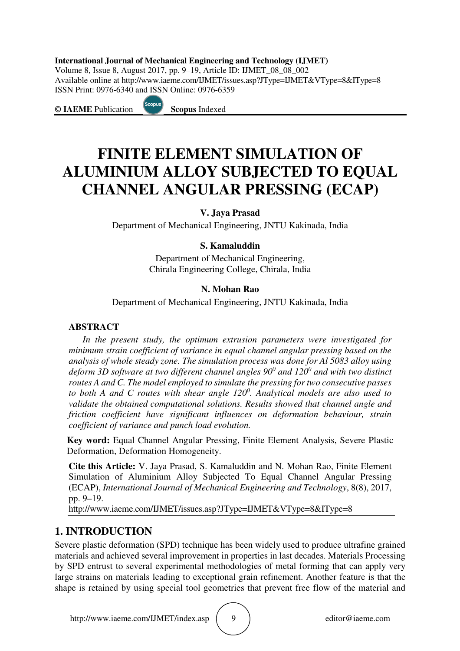#### **International Journal of Mechanical Engineering and Technology (IJMET)**

Volume 8, Issue 8, August 2017, pp. 9–19, Article ID: IJMET\_08\_08\_002 Available online at http://www.iaeme.com/IJMET/issues.asp?JType=IJMET&VType=8&IType=8 ISSN Print: 0976-6340 and ISSN Online: 0976-6359

**© IAEME** Publication **Scopus** Indexed



# **FINITE ELEMENT SIMULATION OF ALUMINIUM ALLOY SUBJECTED TO EQUAL CHANNEL ANGULAR PRESSING (ECAP)**

# **V. Jaya Prasad**

Department of Mechanical Engineering, JNTU Kakinada, India

# **S. Kamaluddin**

Department of Mechanical Engineering, Chirala Engineering College, Chirala, India

## **N. Mohan Rao**

Department of Mechanical Engineering, JNTU Kakinada, India

#### **ABSTRACT**

*In the present study, the optimum extrusion parameters were investigated for minimum strain coefficient of variance in equal channel angular pressing based on the analysis of whole steady zone. The simulation process was done for Al 5083 alloy using deform 3D software at two different channel angles 90<sup>0</sup> and 120<sup>0</sup> and with two distinct routes A and C. The model employed to simulate the pressing for two consecutive passes to both A and C routes with shear angle 120<sup>0</sup> . Analytical models are also used to validate the obtained computational solutions. Results showed that channel angle and friction coefficient have significant influences on deformation behaviour, strain coefficient of variance and punch load evolution.* 

**Key word:** Equal Channel Angular Pressing, Finite Element Analysis, Severe Plastic Deformation, Deformation Homogeneity.

**Cite this Article:** V. Jaya Prasad, S. Kamaluddin and N. Mohan Rao, Finite Element Simulation of Aluminium Alloy Subjected To Equal Channel Angular Pressing (ECAP), *International Journal of Mechanical Engineering and Technology*, 8(8), 2017, pp. 9–19.

http://www.iaeme.com/IJMET/issues.asp?JType=IJMET&VType=8&IType=8

# **1. INTRODUCTION**

Severe plastic deformation (SPD) technique has been widely used to produce ultrafine grained materials and achieved several improvement in properties in last decades. Materials Processing by SPD entrust to several experimental methodologies of metal forming that can apply very large strains on materials leading to exceptional grain refinement. Another feature is that the shape is retained by using special tool geometries that prevent free flow of the material and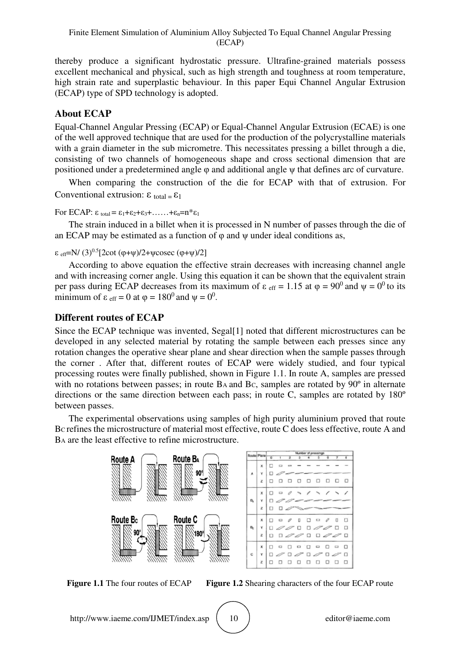thereby produce a significant hydrostatic pressure. Ultrafine-grained materials possess excellent mechanical and physical, such as high strength and toughness at room temperature, high strain rate and superplastic behaviour. In this paper Equi Channel Angular Extrusion (ECAP) type of SPD technology is adopted.

# **About ECAP**

Equal-Channel Angular Pressing (ECAP) or Equal-Channel Angular Extrusion (ECAE) is one of the well approved technique that are used for the production of the polycrystalline materials with a grain diameter in the sub micrometre. This necessitates pressing a billet through a die, consisting of two channels of homogeneous shape and cross sectional dimension that are positioned under a predetermined angle φ and additional angle ψ that defines arc of curvature.

When comparing the construction of the die for ECAP with that of extrusion. For Conventional extrusion:  $\epsilon_{\text{total}} = \epsilon_1$ 

For ECAP: ε total = ε<sub>1</sub>+ε<sub>2</sub>+ε<sub>3</sub>+......+ε<sub>n</sub>=n\*ε<sub>1</sub>

The strain induced in a billet when it is processed in N number of passes through the die of an ECAP may be estimated as a function of  $\varphi$  and  $\psi$  under ideal conditions as,

ε eff=N/ (3)0.5[2cot (φ+ψ)/2+ψcosec (φ+ψ)/2]

According to above equation the effective strain decreases with increasing channel angle and with increasing corner angle. Using this equation it can be shown that the equivalent strain per pass during ECAP decreases from its maximum of  $\varepsilon$  eff = 1.15 at  $\varphi = 90^0$  and  $\psi = 0^0$  to its minimum of  $\varepsilon$  <sub>eff</sub> = 0 at  $\varphi$  = 180<sup>0</sup> and  $\psi$  = 0<sup>0</sup>.

# **Different routes of ECAP**

Since the ECAP technique was invented, Segal[1] noted that different microstructures can be developed in any selected material by rotating the sample between each presses since any rotation changes the operative shear plane and shear direction when the sample passes through the corner . After that, different routes of ECAP were widely studied, and four typical processing routes were finally published, shown in Figure 1.1. In route A, samples are pressed with no rotations between passes; in route BA and Bc, samples are rotated by 90<sup>°</sup> in alternate directions or the same direction between each pass; in route C, samples are rotated by 180º between passes.

The experimental observations using samples of high purity aluminium proved that route BC refines the microstructure of material most effective, route C does less effective, route A and BA are the least effective to refine microstructure.



**Figure 1.1** The four routes of ECAP **Figure 1.2** Shearing characters of the four ECAP route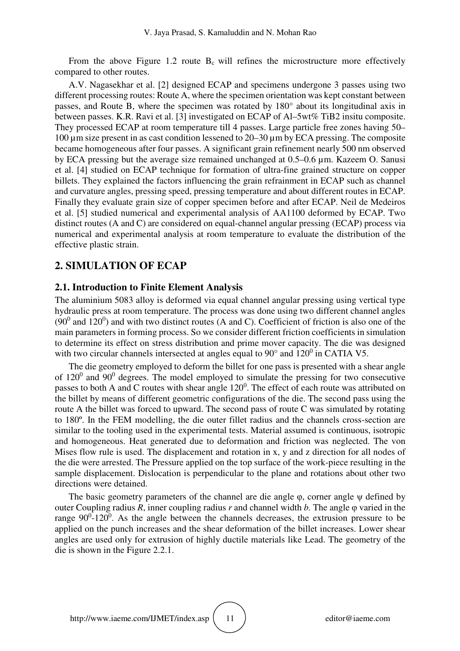From the above Figure 1.2 route  $B_c$  will refines the microstructure more effectively compared to other routes.

A.V. Nagasekhar et al. [2] designed ECAP and specimens undergone 3 passes using two different processing routes: Route A, where the specimen orientation was kept constant between passes, and Route B, where the specimen was rotated by 180° about its longitudinal axis in between passes. K.R. Ravi et al. [3] investigated on ECAP of Al–5wt% TiB2 insitu composite. They processed ECAP at room temperature till 4 passes. Large particle free zones having 50– 100 µm size present in as cast condition lessened to 20–30 µm by ECA pressing. The composite became homogeneous after four passes. A significant grain refinement nearly 500 nm observed by ECA pressing but the average size remained unchanged at 0.5–0.6 µm. Kazeem O. Sanusi et al. [4] studied on ECAP technique for formation of ultra-fine grained structure on copper billets. They explained the factors influencing the grain refrainment in ECAP such as channel and curvature angles, pressing speed, pressing temperature and about different routes in ECAP. Finally they evaluate grain size of copper specimen before and after ECAP. Neil de Medeiros et al. [5] studied numerical and experimental analysis of AA1100 deformed by ECAP. Two distinct routes (A and C) are considered on equal-channel angular pressing (ECAP) process via numerical and experimental analysis at room temperature to evaluate the distribution of the effective plastic strain.

## **2. SIMULATION OF ECAP**

#### **2.1. Introduction to Finite Element Analysis**

The aluminium 5083 alloy is deformed via equal channel angular pressing using vertical type hydraulic press at room temperature. The process was done using two different channel angles  $(90<sup>0</sup>$  and 120<sup>0</sup>) and with two distinct routes (A and C). Coefficient of friction is also one of the main parameters in forming process. So we consider different friction coefficients in simulation to determine its effect on stress distribution and prime mover capacity. The die was designed with two circular channels intersected at angles equal to  $90^{\circ}$  and  $120^{\circ}$  in CATIA V5.

The die geometry employed to deform the billet for one pass is presented with a shear angle of  $120^0$  and  $90^0$  degrees. The model employed to simulate the pressing for two consecutive passes to both A and C routes with shear angle  $120^0$ . The effect of each route was attributed on the billet by means of different geometric configurations of the die. The second pass using the route A the billet was forced to upward. The second pass of route C was simulated by rotating to 180º. In the FEM modelling, the die outer fillet radius and the channels cross-section are similar to the tooling used in the experimental tests. Material assumed is continuous, isotropic and homogeneous. Heat generated due to deformation and friction was neglected. The von Mises flow rule is used. The displacement and rotation in x, y and z direction for all nodes of the die were arrested. The Pressure applied on the top surface of the work-piece resulting in the sample displacement. Dislocation is perpendicular to the plane and rotations about other two directions were detained.

The basic geometry parameters of the channel are die angle φ, corner angle ψ defined by outer Coupling radius *R*, inner coupling radius *r* and channel width *b.* The angle φ varied in the range  $90^0$ -120<sup>0</sup>. As the angle between the channels decreases, the extrusion pressure to be applied on the punch increases and the shear deformation of the billet increases. Lower shear angles are used only for extrusion of highly ductile materials like Lead. The geometry of the die is shown in the Figure 2.2.1.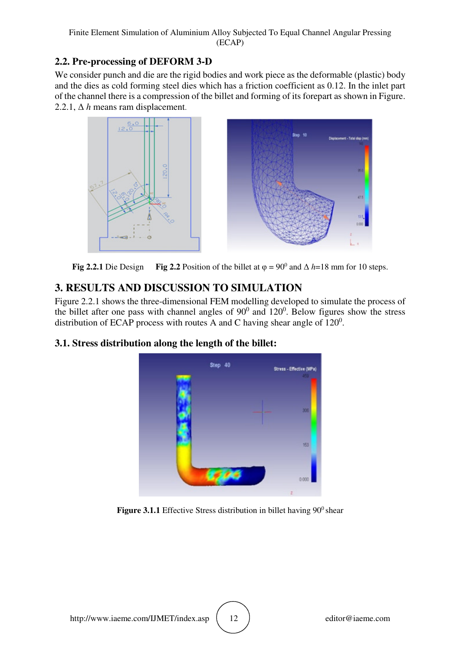# **2.2. Pre-processing of DEFORM 3-D**

We consider punch and die are the rigid bodies and work piece as the deformable (plastic) body and the dies as cold forming steel dies which has a friction coefficient as 0.12. In the inlet part of the channel there is a compression of the billet and forming of its forepart as shown in Figure. 2.2.1,  $\Delta h$  means ram displacement.



**Fig 2.2.1** Die Design **Fig 2.2** Position of the billet at  $\varphi = 90^\circ$  and  $\Delta h = 18$  mm for 10 steps.

# **3. RESULTS AND DISCUSSION TO SIMULATION**

Figure 2.2.1 shows the three-dimensional FEM modelling developed to simulate the process of the billet after one pass with channel angles of  $90^0$  and  $120^0$ . Below figures show the stress distribution of ECAP process with routes A and C having shear angle of  $120^0$ .

# **3.1. Stress distribution along the length of the billet:**



**Figure 3.1.1** Effective Stress distribution in billet having  $90^\circ$  shear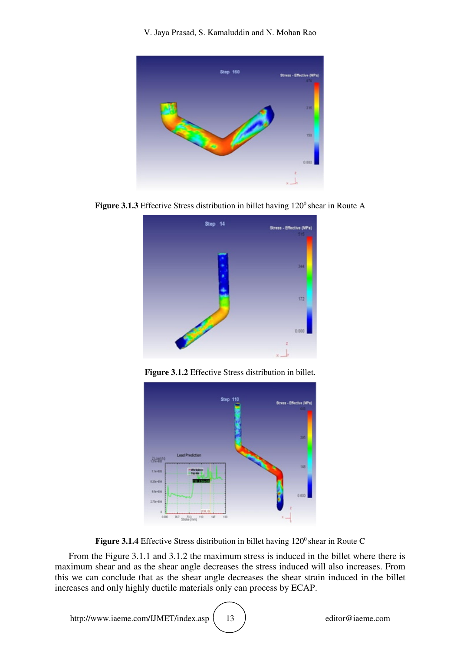V. Jaya Prasad, S. Kamaluddin and N. Mohan Rao



**Figure 3.1.3** Effective Stress distribution in billet having  $120^{\circ}$  shear in Route A



**Figure 3.1.2** Effective Stress distribution in billet.



Figure 3.1.4 Effective Stress distribution in billet having 120<sup>0</sup> shear in Route C

From the Figure 3.1.1 and 3.1.2 the maximum stress is induced in the billet where there is maximum shear and as the shear angle decreases the stress induced will also increases. From this we can conclude that as the shear angle decreases the shear strain induced in the billet increases and only highly ductile materials only can process by ECAP.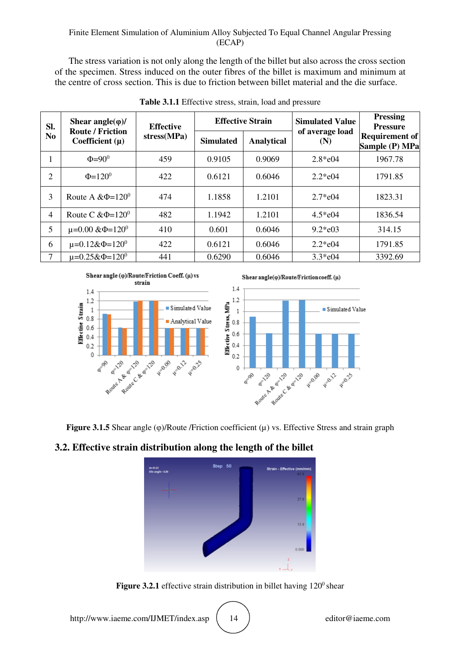#### Finite Element Simulation of Aluminium Alloy Subjected To Equal Channel Angular Pressing (ECAP)

The stress variation is not only along the length of the billet but also across the cross section of the specimen. Stress induced on the outer fibres of the billet is maximum and minimum at the centre of cross section. This is due to friction between billet material and the die surface.

| Sl.<br>N <sub>o</sub> | Shear angle $(\varphi)$ /<br><b>Route / Friction</b><br>Coefficient $(\mu)$ | <b>Effective</b><br>stress(MPa) | <b>Effective Strain</b> |                   | <b>Simulated Value</b> | <b>Pressing</b><br><b>Pressure</b> |
|-----------------------|-----------------------------------------------------------------------------|---------------------------------|-------------------------|-------------------|------------------------|------------------------------------|
|                       |                                                                             |                                 | <b>Simulated</b>        | <b>Analytical</b> | of average load<br>(N) | Requirement of<br>Sample (P) MPa   |
| л.                    | $\Phi = 90^\circ$                                                           | 459                             | 0.9105                  | 0.9069            | $2.8*$ e04             | 1967.78                            |
| 2                     | $\Phi$ =120 <sup>0</sup>                                                    | 422                             | 0.6121                  | 0.6046            | $2.2*e04$              | 1791.85                            |
| 3                     | Route A & $\Phi$ =120 <sup>0</sup>                                          | 474                             | 1.1858                  | 1.2101            | $2.7*e04$              | 1823.31                            |
| 4                     | Route C & $\Phi$ =120 <sup>0</sup>                                          | 482                             | 1.1942                  | 1.2101            | $4.5*$ e04             | 1836.54                            |
| 5                     | $\mu$ =0.00 & $\Phi$ =120 <sup>0</sup>                                      | 410                             | 0.601                   | 0.6046            | $9.2*e03$              | 314.15                             |
| 6                     | $\mu$ =0.12& $\Phi$ =120 <sup>0</sup>                                       | 422                             | 0.6121                  | 0.6046            | $2.2*e04$              | 1791.85                            |
| 7                     | $\mu = 0.25 \& \Phi = 120^{\circ}$                                          | 441                             | 0.6290                  | 0.6046            | $3.3*$ e04             | 3392.69                            |

**Table 3.1.1** Effective stress, strain, load and pressure



**Figure 3.1.5** Shear angle (φ)/Route /Friction coefficient (µ) vs. Effective Stress and strain graph

# **3.2. Effective strain distribution along the length of the billet**



**Figure 3.2.1** effective strain distribution in billet having  $120^{\circ}$  shear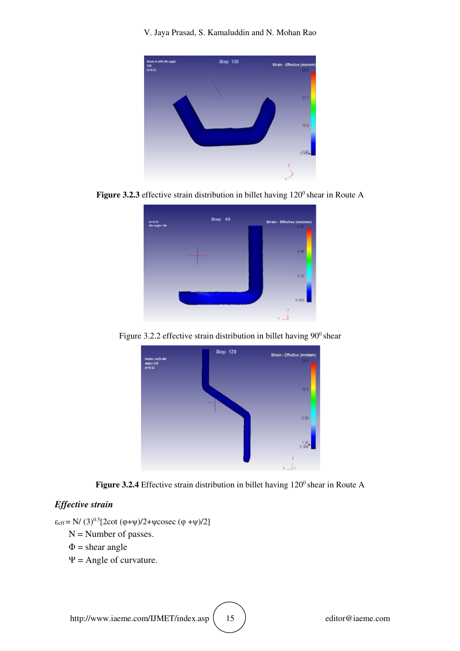V. Jaya Prasad, S. Kamaluddin and N. Mohan Rao



**Figure 3.2.3** effective strain distribution in billet having  $120^{\circ}$  shear in Route A



Figure 3.2.2 effective strain distribution in billet having  $90^{\circ}$  shear





#### *Effective strain*

 $\varepsilon_{\text{eff}} = N/(3)^{0.5} [2 \cot (\varphi + \psi)/2 + \psi \csc (\varphi + \psi)/2]$ N = Number of passes.  $\Phi$  = shear angle  $\Psi$  = Angle of curvature.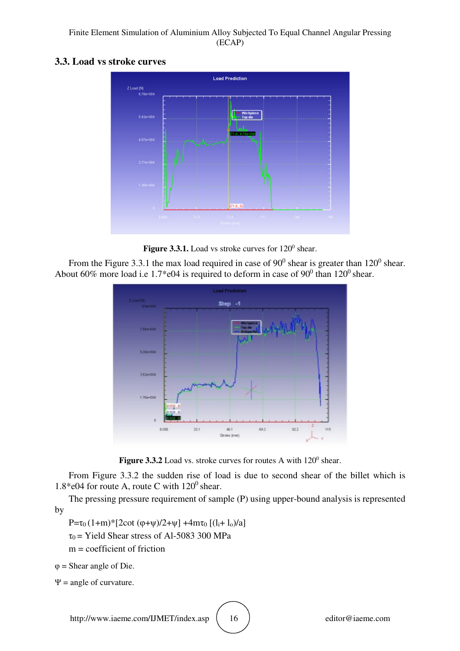Finite Element Simulation of Aluminium Alloy Subjected To Equal Channel Angular Pressing (ECAP)

#### **3.3. Load vs stroke curves**



**Figure 3.3.1.** Load vs stroke curves for 120<sup>0</sup> shear.

From the Figure 3.3.1 the max load required in case of  $90^0$  shear is greater than  $120^0$  shear. About 60% more load i.e 1.7\*e04 is required to deform in case of  $90^0$  than 120<sup>0</sup> shear.



**Figure 3.3.2** Load vs. stroke curves for routes A with  $120^{\circ}$  shear.

From Figure 3.3.2 the sudden rise of load is due to second shear of the billet which is 1.8\*e04 for route A, route C with  $120^0$  shear.

The pressing pressure requirement of sample (P) using upper-bound analysis is represented by

P=τ<sub>0</sub> (1+m)\*[2cot (φ+ψ)/2+ψ] +4mτ<sub>0</sub> [(l<sub>i</sub>+ l<sub>o</sub>)/a]

 $\tau_0$  = Yield Shear stress of Al-5083 300 MPa

 $m =$  coefficient of friction

 $\varphi$  = Shear angle of Die.

 $\Psi$  = angle of curvature.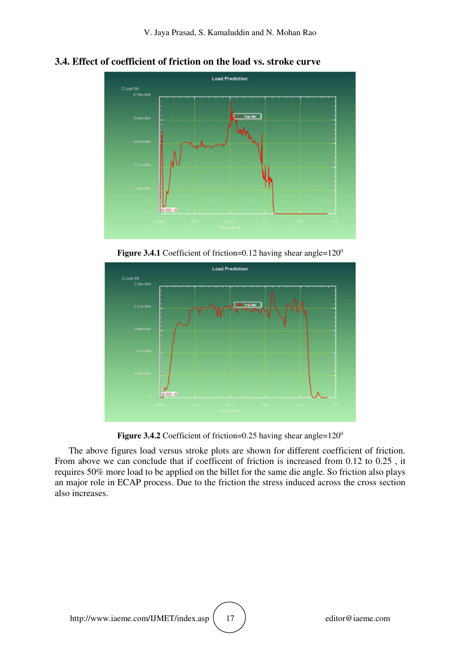

**3.4. Effect of coefficient of friction on the load vs. stroke curve** 

**Figure 3.4.1** Coefficient of friction=0.12 having shear angle= $120^\circ$ 



**Figure 3.4.2** Coefficient of friction=0.25 having shear angle=120<sup>0</sup>

The above figures load versus stroke plots are shown for different coefficient of friction. From above we can conclude that if coefficent of friction is increased from 0.12 to 0.25 , it requires 50% more load to be applied on the billet for the same die angle. So friction also plays an major role in ECAP process. Due to the friction the stress induced across the cross section also increases.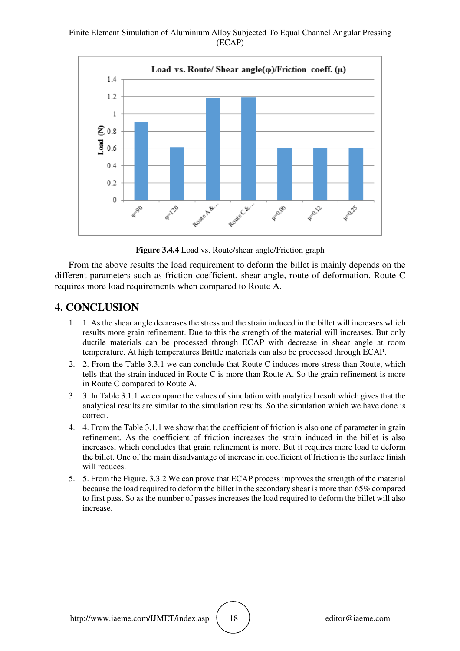Finite Element Simulation of Aluminium Alloy Subjected To Equal Channel Angular Pressing (ECAP)



**Figure 3.4.4** Load vs. Route/shear angle/Friction graph

From the above results the load requirement to deform the billet is mainly depends on the different parameters such as friction coefficient, shear angle, route of deformation. Route C requires more load requirements when compared to Route A.

## **4. CONCLUSION**

- 1. 1. As the shear angle decreases the stress and the strain induced in the billet will increases which results more grain refinement. Due to this the strength of the material will increases. But only ductile materials can be processed through ECAP with decrease in shear angle at room temperature. At high temperatures Brittle materials can also be processed through ECAP.
- 2. 2. From the Table 3.3.1 we can conclude that Route C induces more stress than Route, which tells that the strain induced in Route C is more than Route A. So the grain refinement is more in Route C compared to Route A.
- 3. 3. In Table 3.1.1 we compare the values of simulation with analytical result which gives that the analytical results are similar to the simulation results. So the simulation which we have done is correct.
- 4. 4. From the Table 3.1.1 we show that the coefficient of friction is also one of parameter in grain refinement. As the coefficient of friction increases the strain induced in the billet is also increases, which concludes that grain refinement is more. But it requires more load to deform the billet. One of the main disadvantage of increase in coefficient of friction is the surface finish will reduces.
- 5. 5. From the Figure. 3.3.2 We can prove that ECAP process improves the strength of the material because the load required to deform the billet in the secondary shear is more than 65% compared to first pass. So as the number of passes increases the load required to deform the billet will also increase.